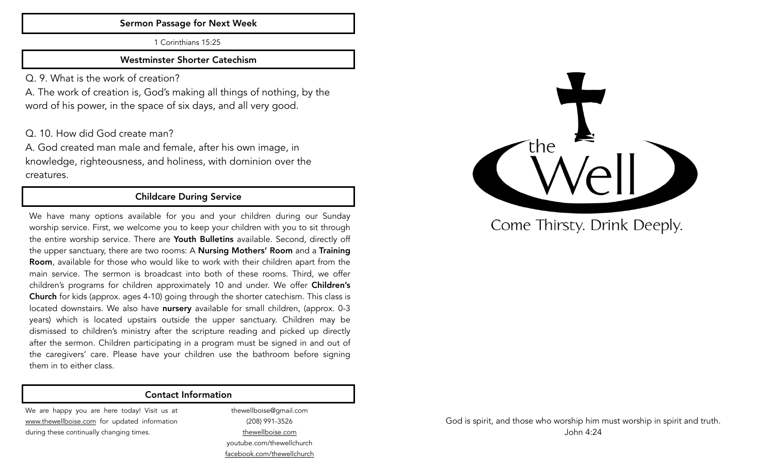# Sermon Passage for Next Week

1 Corinthians 15:25

# Westminster Shorter Catechism

Q. 9. What is the work of creation?

A. The work of creation is, God's making all things of nothing, by the word of his power, in the space of six days, and all very good.

Q. 10. How did God create man?

A. God created man male and female, after his own image, in knowledge, righteousness, and holiness, with dominion over the creatures.

# Childcare During Service

We have many options available for you and your children during our Sunday worship service. First, we welcome you to keep your children with you to sit through the entire worship service. There are Youth Bulletins available. Second, directly off the upper sanctuary, there are two rooms: A **Nursing Mothers' Room** and a Training Room, available for those who would like to work with their children apart from the main service. The sermon is broadcast into both of these rooms. Third, we offer children's programs for children approximately 10 and under. We offer **Children's** Church for kids (approx. ages 4-10) going through the shorter catechism. This class is located downstairs. We also have nursery available for small children, (approx. 0-3 years) which is located upstairs outside the upper sanctuary. Children may be dismissed to children's ministry after the scripture reading and picked up directly after the sermon. Children participating in a program must be signed in and out of the caregivers' care. Please have your children use the bathroom before signing them in to either class.

# Contact Information

We are happy you are here today! Visit us at [www.thewellboise.com](http://www.thewellboise.com) for updated information during these continually changing times.

thewellboise@gmail.com (208) 991-3526 [thewellboise.com](http://thewellboise.com) youtube.com/thewellchurch [facebook.com/thewellchurch](http://facebook.com/thewellchurch)



Come Thirsty. Drink Deeply.

God is spirit, and those who worship him must worship in spirit and truth. John 4:24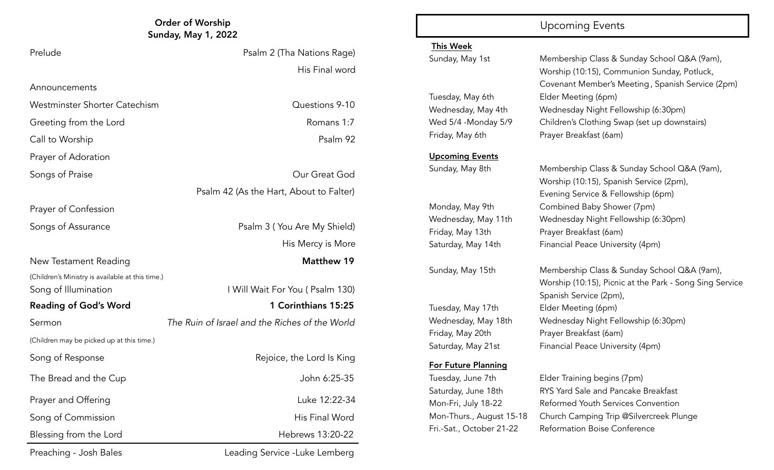# Order of Worship Upcoming Events Sunday, May 1, 2022

#### Announcements

Westminster Shorter Catechism **Catechism Questions 9-10** 

Greeting from the Lord **Romans 1:7** Romans 1:7

Call to Worship **Psalm 92** 

Prayer of Adoration

Prayer of Confession

New Testament Reading Matthew 19

(Children's Ministry is available at this time.)

(Children may be picked up at this time.)

Preaching - Josh Bales Leading Service -Luke Lemberg

Prelude **Prelude** Prelude **Prelude** Prelude **Prelude** Prelude **Prelude** Prelude **Prelude** Prelude **Prelude** Prelude **Prelude** Prelude **Prelude** Prelude **Prelude** Prelude **Prelude** Prelude **Prelude** Prelude **Prelude** Prelud His Final word

Songs of Praise **Songs of Praise COUL** Psalm 42 (As the Hart, About to Falter)

Songs of Assurance **Psalm 3** ( You Are My Shield) His Mercy is More

Song of Illumination **I Will Wait For You ( Psalm 130)** Reading of God's Word 1 Corinthians 15:25 Sermon *The Ruin of Israel and the Riches of the World*

Song of Response **Register Access** Rejoice, the Lord Is King The Bread and the Cup John 6:25-35 Prayer and Offering **Luke 12:22-34** Song of Commission **Example 2018** Song of Commission Blessing from the Lord **Hebrews 13:20-22** 

# This Week

Tuesday, May 6th Elder Meeting (6pm) Friday, May 6th Prayer Breakfast (6am)

# Upcoming Events

Friday, May 13th Prayer Breakfast (6am)

Tuesday, May 17th Elder Meeting (6pm)

# For Future Planning

Sunday, May 1st Membership Class & Sunday School Q&A (9am), Worship (10:15), Communion Sunday, Potluck, Covenant Member's Meeting, Spanish Service (2pm) Wednesday, May 4th Wednesday Night Fellowship (6:30pm) Wed 5/4 -Monday 5/9 Children's Clothing Swap (set up downstairs)

Sunday, May 8th Membership Class & Sunday School Q&A (9am), Worship (10:15), Spanish Service (2pm), Evening Service & Fellowship (6pm) Monday, May 9th Combined Baby Shower (7pm) Wednesday, May 11th Wednesday Night Fellowship (6:30pm) Saturday, May 14th Financial Peace University (4pm)

Sunday, May 15th Membership Class & Sunday School Q&A (9am), Worship (10:15), Picnic at the Park - Song Sing Service Spanish Service (2pm), Wednesday, May 18th Wednesday Night Fellowship (6:30pm) Friday, May 20th Prayer Breakfast (6am) Saturday, May 21st Financial Peace University (4pm)

Tuesday, June 7th Elder Training begins (7pm) Saturday, June 18th RYS Yard Sale and Pancake Breakfast Mon-Fri, July 18-22 Reformed Youth Services Convention Mon-Thurs., August 15-18 Church Camping Trip @Silvercreek Plunge Fri.-Sat., October 21-22 Reformation Boise Conference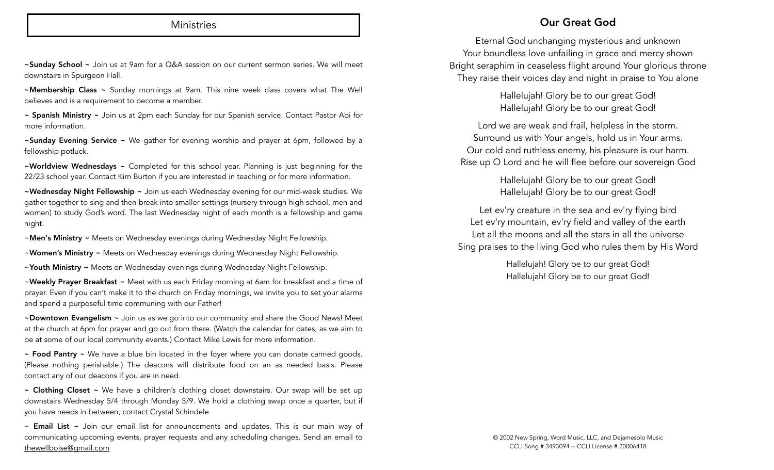# **Ministries**

~Sunday School ~ Join us at 9am for a Q&A session on our current sermon series. We will meet downstairs in Spurgeon Hall.

~Membership Class ~ Sunday mornings at 9am. This nine week class covers what The Well believes and is a requirement to become a member.

~ Spanish Ministry ~ Join us at 2pm each Sunday for our Spanish service. Contact Pastor Abi for more information.

~Sunday Evening Service ~ We gather for evening worship and prayer at 6pm, followed by a fellowship potluck.

~Worldview Wednesdays ~ Completed for this school year. Planning is just beginning for the 22/23 school year. Contact Kim Burton if you are interested in teaching or for more information.

~Wednesday Night Fellowship ~ Join us each Wednesday evening for our mid-week studies. We gather together to sing and then break into smaller settings (nursery through high school, men and women) to study God's word. The last Wednesday night of each month is a fellowship and game night.

~Men's Ministry ~ Meets on Wednesday evenings during Wednesday Night Fellowship.

~Women's Ministry ~ Meets on Wednesday evenings during Wednesday Night Fellowship.

~Youth Ministry ~ Meets on Wednesday evenings during Wednesday Night Fellowship.

~Weekly Prayer Breakfast ~ Meet with us each Friday morning at 6am for breakfast and a time of prayer. Even if you can't make it to the church on Friday mornings, we invite you to set your alarms and spend a purposeful time communing with our Father!

~Downtown Evangelism ~ Join us as we go into our community and share the Good News! Meet at the church at 6pm for prayer and go out from there. (Watch the calendar for dates, as we aim to be at some of our local community events.) Contact Mike Lewis for more information.

~ Food Pantry ~ We have a blue bin located in the foyer where you can donate canned goods. (Please nothing perishable.) The deacons will distribute food on an as needed basis. Please contact any of our deacons if you are in need.

~ Clothing Closet ~ We have a children's clothing closet downstairs. Our swap will be set up downstairs Wednesday 5/4 through Monday 5/9. We hold a clothing swap once a quarter, but if you have needs in between, contact Crystal Schindele

~ Email List ~ Join our email list for announcements and updates. This is our main way of communicating upcoming events, prayer requests and any scheduling changes. Send an email to [thewellboise@gmail.com](mailto:thewellboise@gmail.com)

# Our Great God

Eternal God unchanging mysterious and unknown Your boundless love unfailing in grace and mercy shown Bright seraphim in ceaseless flight around Your glorious throne They raise their voices day and night in praise to You alone

> Hallelujah! Glory be to our great God! Hallelujah! Glory be to our great God!

Lord we are weak and frail, helpless in the storm. Surround us with Your angels, hold us in Your arms. Our cold and ruthless enemy, his pleasure is our harm. Rise up O Lord and he will flee before our sovereign God

> Hallelujah! Glory be to our great God! Hallelujah! Glory be to our great God!

Let ev'ry creature in the sea and ev'ry flying bird Let ev'ry mountain, ev'ry field and valley of the earth Let all the moons and all the stars in all the universe Sing praises to the living God who rules them by His Word

> Hallelujah! Glory be to our great God! Hallelujah! Glory be to our great God!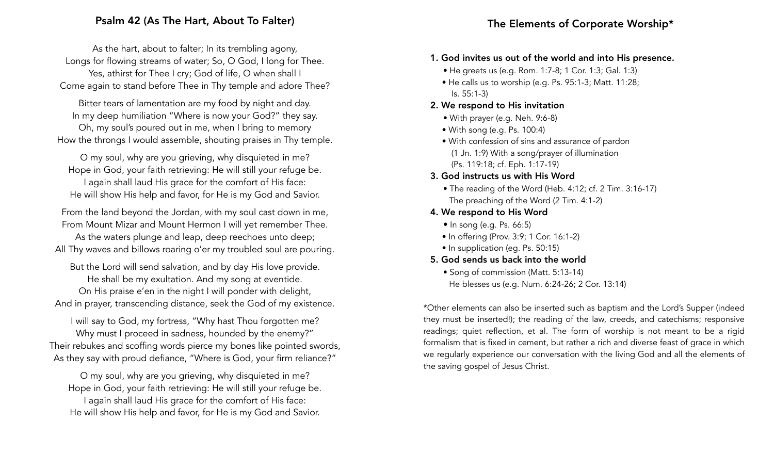# Psalm 42 (As The Hart, About To Falter)

As the hart, about to falter; In its trembling agony, Longs for flowing streams of water; So, O God, I long for Thee. Yes, athirst for Thee I cry; God of life, O when shall I Come again to stand before Thee in Thy temple and adore Thee?

Bitter tears of lamentation are my food by night and day. In my deep humiliation "Where is now your God?" they say. Oh, my soul's poured out in me, when I bring to memory How the throngs I would assemble, shouting praises in Thy temple.

O my soul, why are you grieving, why disquieted in me? Hope in God, your faith retrieving: He will still your refuge be. I again shall laud His grace for the comfort of His face: He will show His help and favor, for He is my God and Savior.

From the land beyond the Jordan, with my soul cast down in me, From Mount Mizar and Mount Hermon I will yet remember Thee. As the waters plunge and leap, deep reechoes unto deep; All Thy waves and billows roaring o'er my troubled soul are pouring.

But the Lord will send salvation, and by day His love provide. He shall be my exultation. And my song at eventide. On His praise e'en in the night I will ponder with delight, And in prayer, transcending distance, seek the God of my existence.

I will say to God, my fortress, "Why hast Thou forgotten me? Why must I proceed in sadness, hounded by the enemy?" Their rebukes and scoffing words pierce my bones like pointed swords, As they say with proud defiance, "Where is God, your firm reliance?"

O my soul, why are you grieving, why disquieted in me? Hope in God, your faith retrieving: He will still your refuge be. I again shall laud His grace for the comfort of His face: He will show His help and favor, for He is my God and Savior.

# 1. God invites us out of the world and into His presence.

- He greets us (e.g. Rom. 1:7-8; 1 Cor. 1:3; Gal. 1:3)
- He calls us to worship (e.g. Ps. 95:1-3; Matt. 11:28; Is. 55:1-3)
- 2. We respond to His invitation
	- With prayer (e.g. Neh. 9:6-8)
	- With song (e.g. Ps. 100:4)
	- With confession of sins and assurance of pardon (1 Jn. 1:9) With a song/prayer of illumination (Ps. 119:18; cf. Eph. 1:17-19)
- 3. God instructs us with His Word
	- The reading of the Word (Heb. 4:12; cf. 2 Tim. 3:16-17) The preaching of the Word (2 Tim. 4:1-2)
- 4. We respond to His Word
	- In song (e.g. Ps. 66:5)
	- In offering (Prov. 3:9; 1 Cor. 16:1-2)
	- In supplication (eg. Ps. 50:15)
- 5. God sends us back into the world
	- Song of commission (Matt. 5:13-14) He blesses us (e.g. Num. 6:24-26; 2 Cor. 13:14)

\*Other elements can also be inserted such as baptism and the Lord's Supper (indeed they must be inserted!); the reading of the law, creeds, and catechisms; responsive readings; quiet reflection, et al. The form of worship is not meant to be a rigid formalism that is fixed in cement, but rather a rich and diverse feast of grace in which we regularly experience our conversation with the living God and all the elements of the saving gospel of Jesus Christ.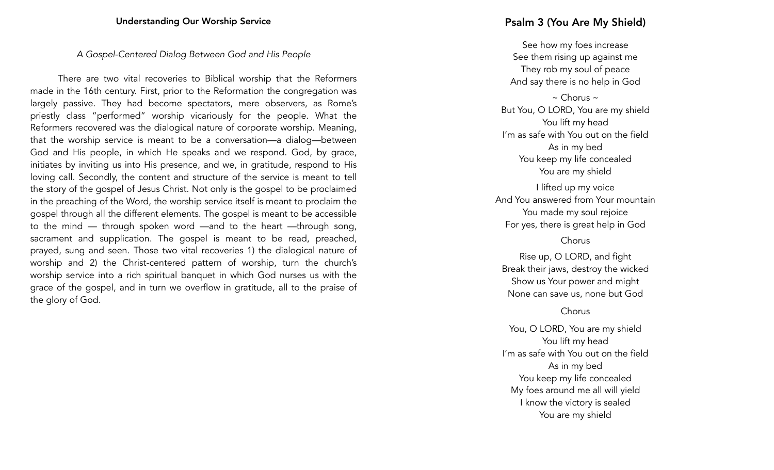### *A Gospel-Centered Dialog Between God and His People*

There are two vital recoveries to Biblical worship that the Reformers made in the 16th century. First, prior to the Reformation the congregation was largely passive. They had become spectators, mere observers, as Rome's priestly class "performed" worship vicariously for the people. What the Reformers recovered was the dialogical nature of corporate worship. Meaning, that the worship service is meant to be a conversation—a dialog—between God and His people, in which He speaks and we respond. God, by grace, initiates by inviting us into His presence, and we, in gratitude, respond to His loving call. Secondly, the content and structure of the service is meant to tell the story of the gospel of Jesus Christ. Not only is the gospel to be proclaimed in the preaching of the Word, the worship service itself is meant to proclaim the gospel through all the different elements. The gospel is meant to be accessible to the mind — through spoken word —and to the heart —through song, sacrament and supplication. The gospel is meant to be read, preached, prayed, sung and seen. Those two vital recoveries 1) the dialogical nature of worship and 2) the Christ-centered pattern of worship, turn the church's worship service into a rich spiritual banquet in which God nurses us with the grace of the gospel, and in turn we overflow in gratitude, all to the praise of the glory of God.

# Psalm 3 (You Are My Shield)

See how my foes increase See them rising up against me They rob my soul of peace And say there is no help in God

 $\sim$  Chorus  $\sim$ But You, O LORD, You are my shield You lift my head I'm as safe with You out on the field As in my bed You keep my life concealed You are my shield

I lifted up my voice And You answered from Your mountain You made my soul rejoice For yes, there is great help in God

#### Chorus

Rise up, O LORD, and fight Break their jaws, destroy the wicked Show us Your power and might None can save us, none but God

### **Chorus**

You, O LORD, You are my shield You lift my head I'm as safe with You out on the field As in my bed You keep my life concealed My foes around me all will yield I know the victory is sealed You are my shield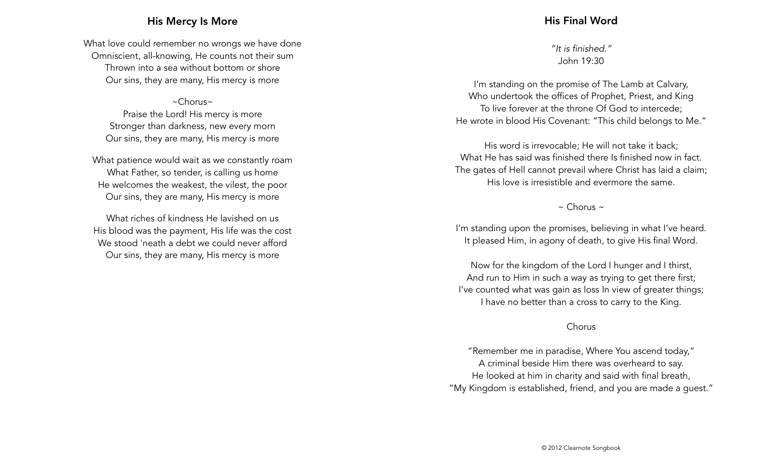# His Mercy Is More

What love could remember no wrongs we have done Omniscient, all-knowing, He counts not their sum Thrown into a sea without bottom or shore Our sins, they are many, His mercy is more

> $~\sim$ Chorus $\sim$ Praise the Lord! His mercy is more Stronger than darkness, new every morn Our sins, they are many, His mercy is more

What patience would wait as we constantly roam What Father, so tender, is calling us home He welcomes the weakest, the vilest, the poor Our sins, they are many, His mercy is more

What riches of kindness He lavished on us His blood was the payment, His life was the cost We stood 'neath a debt we could never afford Our sins, they are many, His mercy is more

# His Final Word

*"It is finished."*  John 19:30

I'm standing on the promise of The Lamb at Calvary, Who undertook the offices of Prophet, Priest, and King To live forever at the throne Of God to intercede; He wrote in blood His Covenant: "This child belongs to Me."

His word is irrevocable; He will not take it back; What He has said was finished there Is finished now in fact. The gates of Hell cannot prevail where Christ has laid a claim; His love is irresistible and evermore the same.

# ~ Chorus ~

I'm standing upon the promises, believing in what I've heard. It pleased Him, in agony of death, to give His final Word.

Now for the kingdom of the Lord I hunger and I thirst, And run to Him in such a way as trying to get there first; I've counted what was gain as loss In view of greater things; I have no better than a cross to carry to the King.

# Chorus

"Remember me in paradise, Where You ascend today," A criminal beside Him there was overheard to say. He looked at him in charity and said with final breath, "My Kingdom is established, friend, and you are made a guest."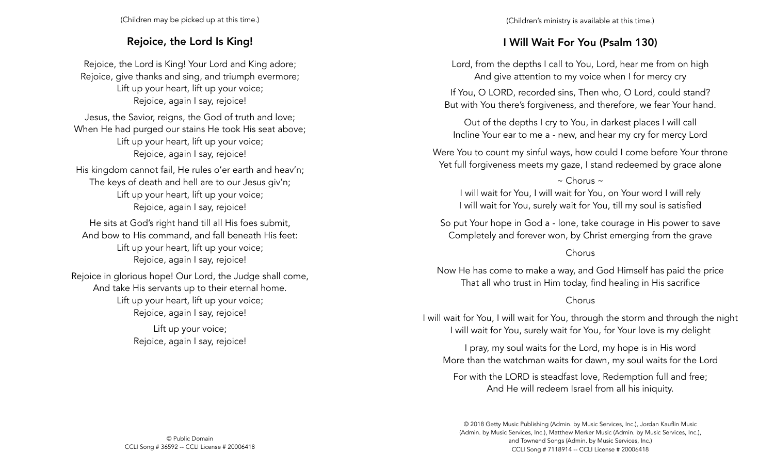(Children may be picked up at this time.)

# Rejoice, the Lord Is King!

Rejoice, the Lord is King! Your Lord and King adore; Rejoice, give thanks and sing, and triumph evermore; Lift up your heart, lift up your voice; Rejoice, again I say, rejoice!

Jesus, the Savior, reigns, the God of truth and love; When He had purged our stains He took His seat above; Lift up your heart, lift up your voice; Rejoice, again I say, rejoice!

His kingdom cannot fail, He rules o'er earth and heav'n; The keys of death and hell are to our Jesus giv'n; Lift up your heart, lift up your voice; Rejoice, again I say, rejoice!

He sits at God's right hand till all His foes submit, And bow to His command, and fall beneath His feet: Lift up your heart, lift up your voice; Rejoice, again I say, rejoice!

Rejoice in glorious hope! Our Lord, the Judge shall come, And take His servants up to their eternal home. Lift up your heart, lift up your voice; Rejoice, again I say, rejoice!

> Lift up your voice; Rejoice, again I say, rejoice!

(Children's ministry is available at this time.)

# I Will Wait For You (Psalm 130)

Lord, from the depths I call to You, Lord, hear me from on high And give attention to my voice when I for mercy cry

If You, O LORD, recorded sins, Then who, O Lord, could stand? But with You there's forgiveness, and therefore, we fear Your hand.

Out of the depths I cry to You, in darkest places I will call Incline Your ear to me a - new, and hear my cry for mercy Lord

Were You to count my sinful ways, how could I come before Your throne Yet full forgiveness meets my gaze, I stand redeemed by grace alone

# $\sim$  Chorus  $\sim$

I will wait for You, I will wait for You, on Your word I will rely I will wait for You, surely wait for You, till my soul is satisfied

So put Your hope in God a - lone, take courage in His power to save Completely and forever won, by Christ emerging from the grave

# Chorus

Now He has come to make a way, and God Himself has paid the price That all who trust in Him today, find healing in His sacrifice

# Chorus

I will wait for You, I will wait for You, through the storm and through the night I will wait for You, surely wait for You, for Your love is my delight

I pray, my soul waits for the Lord, my hope is in His word More than the watchman waits for dawn, my soul waits for the Lord

For with the LORD is steadfast love, Redemption full and free; And He will redeem Israel from all his iniquity.

© 2018 Getty Music Publishing (Admin. by Music Services, Inc.), Jordan Kauflin Music (Admin. by Music Services, Inc.), Matthew Merker Music (Admin. by Music Services, Inc.), and Townend Songs (Admin. by Music Services, Inc.) CCLI Song # 7118914 -- CCLI License # 20006418